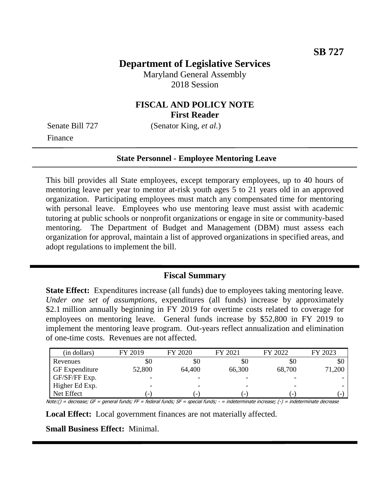# **Department of Legislative Services**

Maryland General Assembly 2018 Session

### **FISCAL AND POLICY NOTE First Reader**

Senate Bill 727 (Senator King, *et al.*)

Finance

#### **State Personnel - Employee Mentoring Leave**

This bill provides all State employees, except temporary employees, up to 40 hours of mentoring leave per year to mentor at-risk youth ages 5 to 21 years old in an approved organization. Participating employees must match any compensated time for mentoring with personal leave. Employees who use mentoring leave must assist with academic tutoring at public schools or nonprofit organizations or engage in site or community-based mentoring. The Department of Budget and Management (DBM) must assess each organization for approval, maintain a list of approved organizations in specified areas, and adopt regulations to implement the bill.

### **Fiscal Summary**

**State Effect:** Expenditures increase (all funds) due to employees taking mentoring leave. *Under one set of assumptions*, expenditures (all funds) increase by approximately \$2.1 million annually beginning in FY 2019 for overtime costs related to coverage for employees on mentoring leave. General funds increase by \$52,800 in FY 2019 to implement the mentoring leave program. Out-years reflect annualization and elimination of one-time costs. Revenues are not affected.

| (in dollars)          | FY 2019                  | FY 2020                  | FY 2021                  | FY 2022                  | FY 2023 |
|-----------------------|--------------------------|--------------------------|--------------------------|--------------------------|---------|
| Revenues              | \$0                      | \$0                      | \$0                      | \$0                      | \$0     |
| <b>GF</b> Expenditure | 52,800                   | 64,400                   | 66,300                   | 68,700                   | 71,200  |
| GF/SF/FF Exp.         |                          |                          |                          |                          |         |
| Higher Ed Exp.        |                          |                          |                          |                          |         |
| Net Effect            | $\overline{\phantom{a}}$ | $\overline{\phantom{a}}$ | $\overline{\phantom{a}}$ | $\overline{\phantom{a}}$ |         |

Note:() = decrease; GF = general funds; FF = federal funds; SF = special funds; - = indeterminate increase; (-) = indeterminate decrease

**Local Effect:** Local government finances are not materially affected.

**Small Business Effect:** Minimal.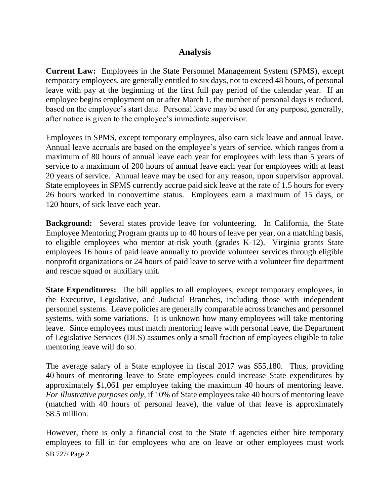## **Analysis**

**Current Law:** Employees in the State Personnel Management System (SPMS), except temporary employees, are generally entitled to six days, not to exceed 48 hours, of personal leave with pay at the beginning of the first full pay period of the calendar year. If an employee begins employment on or after March 1, the number of personal days is reduced, based on the employee's start date. Personal leave may be used for any purpose, generally, after notice is given to the employee's immediate supervisor.

Employees in SPMS, except temporary employees, also earn sick leave and annual leave. Annual leave accruals are based on the employee's years of service, which ranges from a maximum of 80 hours of annual leave each year for employees with less than 5 years of service to a maximum of 200 hours of annual leave each year for employees with at least 20 years of service. Annual leave may be used for any reason, upon supervisor approval. State employees in SPMS currently accrue paid sick leave at the rate of 1.5 hours for every 26 hours worked in nonovertime status. Employees earn a maximum of 15 days, or 120 hours, of sick leave each year.

**Background:** Several states provide leave for volunteering. In California, the State Employee Mentoring Program grants up to 40 hours of leave per year, on a matching basis, to eligible employees who mentor at-risk youth (grades K-12). Virginia grants State employees 16 hours of paid leave annually to provide volunteer services through eligible nonprofit organizations or 24 hours of paid leave to serve with a volunteer fire department and rescue squad or auxiliary unit.

**State Expenditures:** The bill applies to all employees, except temporary employees, in the Executive, Legislative, and Judicial Branches, including those with independent personnel systems. Leave policies are generally comparable across branches and personnel systems, with some variations. It is unknown how many employees will take mentoring leave. Since employees must match mentoring leave with personal leave, the Department of Legislative Services (DLS) assumes only a small fraction of employees eligible to take mentoring leave will do so.

The average salary of a State employee in fiscal 2017 was \$55,180. Thus, providing 40 hours of mentoring leave to State employees could increase State expenditures by approximately \$1,061 per employee taking the maximum 40 hours of mentoring leave. *For illustrative purposes only*, if 10% of State employees take 40 hours of mentoring leave (matched with 40 hours of personal leave), the value of that leave is approximately \$8.5 million.

SB 727/ Page 2 However, there is only a financial cost to the State if agencies either hire temporary employees to fill in for employees who are on leave or other employees must work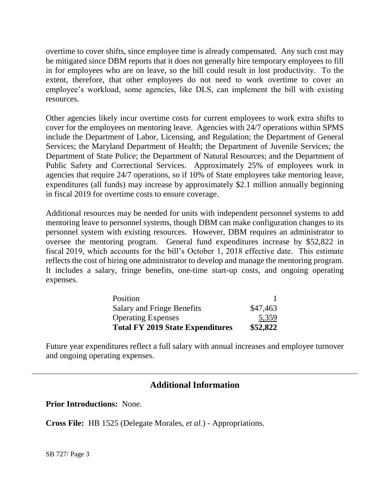overtime to cover shifts, since employee time is already compensated. Any such cost may be mitigated since DBM reports that it does not generally hire temporary employees to fill in for employees who are on leave, so the bill could result in lost productivity. To the extent, therefore, that other employees do not need to work overtime to cover an employee's workload, some agencies, like DLS, can implement the bill with existing resources.

Other agencies likely incur overtime costs for current employees to work extra shifts to cover for the employees on mentoring leave. Agencies with 24/7 operations within SPMS include the Department of Labor, Licensing, and Regulation; the Department of General Services; the Maryland Department of Health; the Department of Juvenile Services; the Department of State Police; the Department of Natural Resources; and the Department of Public Safety and Correctional Services. Approximately 25% of employees work in agencies that require 24/7 operations, so if 10% of State employees take mentoring leave, expenditures (all funds) may increase by approximately \$2.1 million annually beginning in fiscal 2019 for overtime costs to ensure coverage.

Additional resources may be needed for units with independent personnel systems to add mentoring leave to personnel systems, though DBM can make configuration changes to its personnel system with existing resources. However, DBM requires an administrator to oversee the mentoring program. General fund expenditures increase by \$52,822 in fiscal 2019, which accounts for the bill's October 1, 2018 effective date. This estimate reflects the cost of hiring one administrator to develop and manage the mentoring program. It includes a salary, fringe benefits, one-time start-up costs, and ongoing operating expenses.

| Position                                |          |
|-----------------------------------------|----------|
| Salary and Fringe Benefits              | \$47,463 |
| <b>Operating Expenses</b>               | 5,359    |
| <b>Total FY 2019 State Expenditures</b> | \$52,822 |

Future year expenditures reflect a full salary with annual increases and employee turnover and ongoing operating expenses.

# **Additional Information**

**Prior Introductions:** None.

**Cross File:** HB 1525 (Delegate Morales, *et al.*) - Appropriations.